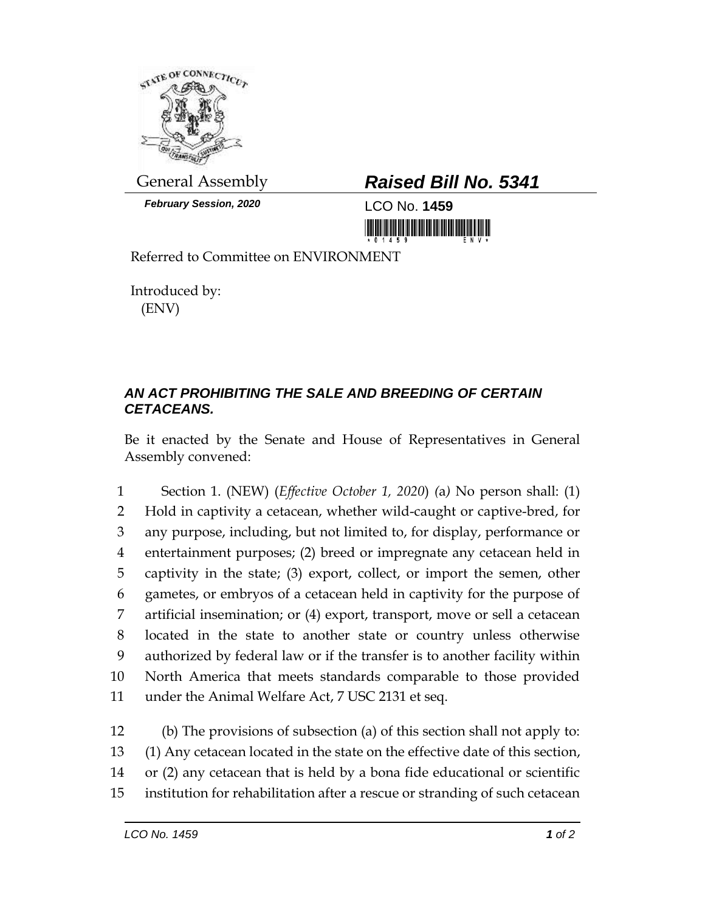

*February Session, 2020* LCO No. **1459**

## General Assembly *Raised Bill No. 5341*

<u> III yn prigram Milliam III yn Milliam </u>

Referred to Committee on ENVIRONMENT

Introduced by: (ENV)

## *AN ACT PROHIBITING THE SALE AND BREEDING OF CERTAIN CETACEANS.*

Be it enacted by the Senate and House of Representatives in General Assembly convened:

 Section 1. (NEW) (*Effective October 1, 2020*) *(*a*)* No person shall: (1) Hold in captivity a cetacean, whether wild-caught or captive-bred, for any purpose, including, but not limited to, for display, performance or entertainment purposes; (2) breed or impregnate any cetacean held in captivity in the state; (3) export, collect, or import the semen, other gametes, or embryos of a cetacean held in captivity for the purpose of artificial insemination; or (4) export, transport, move or sell a cetacean located in the state to another state or country unless otherwise authorized by federal law or if the transfer is to another facility within North America that meets standards comparable to those provided under the Animal Welfare Act, 7 USC 2131 et seq.

 (b) The provisions of subsection (a) of this section shall not apply to: (1) Any cetacean located in the state on the effective date of this section, or (2) any cetacean that is held by a bona fide educational or scientific institution for rehabilitation after a rescue or stranding of such cetacean